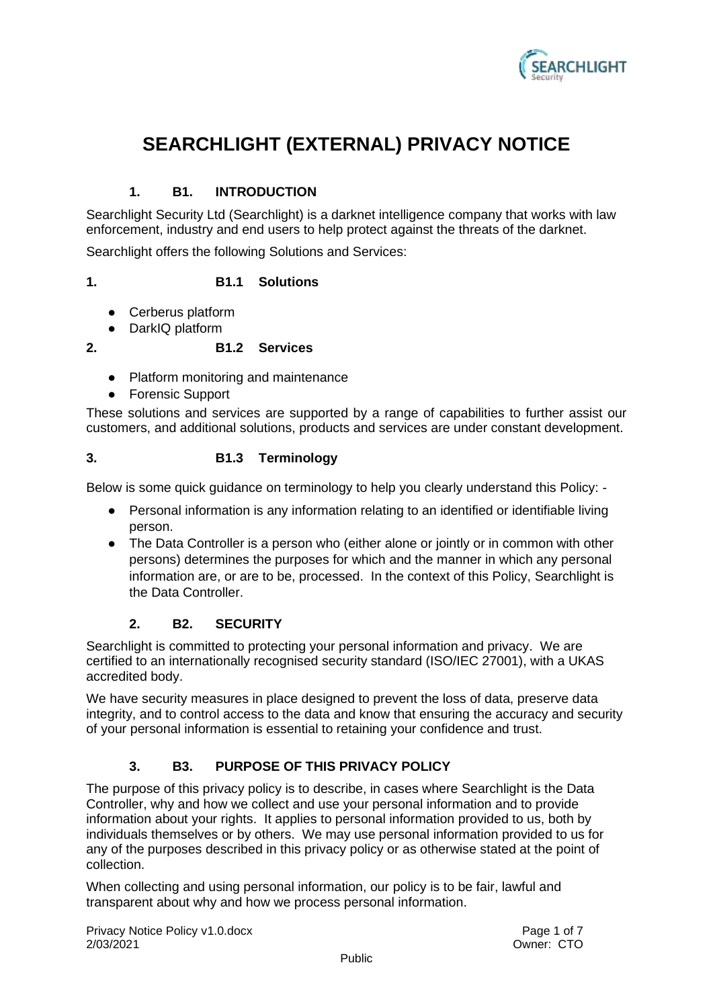

# **SEARCHLIGHT (EXTERNAL) PRIVACY NOTICE**

# **1. B1. INTRODUCTION**

Searchlight Security Ltd (Searchlight) is a darknet intelligence company that works with law enforcement, industry and end users to help protect against the threats of the darknet.

Searchlight offers the following Solutions and Services:

#### **1. B1.1 Solutions**

- Cerberus platform
- DarkIQ platform

#### **2. B1.2 Services**

- Platform monitoring and maintenance
- Forensic Support

These solutions and services are supported by a range of capabilities to further assist our customers, and additional solutions, products and services are under constant development.

#### **3. B1.3 Terminology**

Below is some quick guidance on terminology to help you clearly understand this Policy: -

- Personal information is any information relating to an identified or identifiable living person.
- The Data Controller is a person who (either alone or jointly or in common with other persons) determines the purposes for which and the manner in which any personal information are, or are to be, processed. In the context of this Policy, Searchlight is the Data Controller.

# **2. B2. SECURITY**

Searchlight is committed to protecting your personal information and privacy. We are certified to an internationally recognised security standard (ISO/IEC 27001), with a UKAS accredited body.

We have security measures in place designed to prevent the loss of data, preserve data integrity, and to control access to the data and know that ensuring the accuracy and security of your personal information is essential to retaining your confidence and trust.

# **3. B3. PURPOSE OF THIS PRIVACY POLICY**

The purpose of this privacy policy is to describe, in cases where Searchlight is the Data Controller, why and how we collect and use your personal information and to provide information about your rights. It applies to personal information provided to us, both by individuals themselves or by others. We may use personal information provided to us for any of the purposes described in this privacy policy or as otherwise stated at the point of collection.

When collecting and using personal information, our policy is to be fair, lawful and transparent about why and how we process personal information.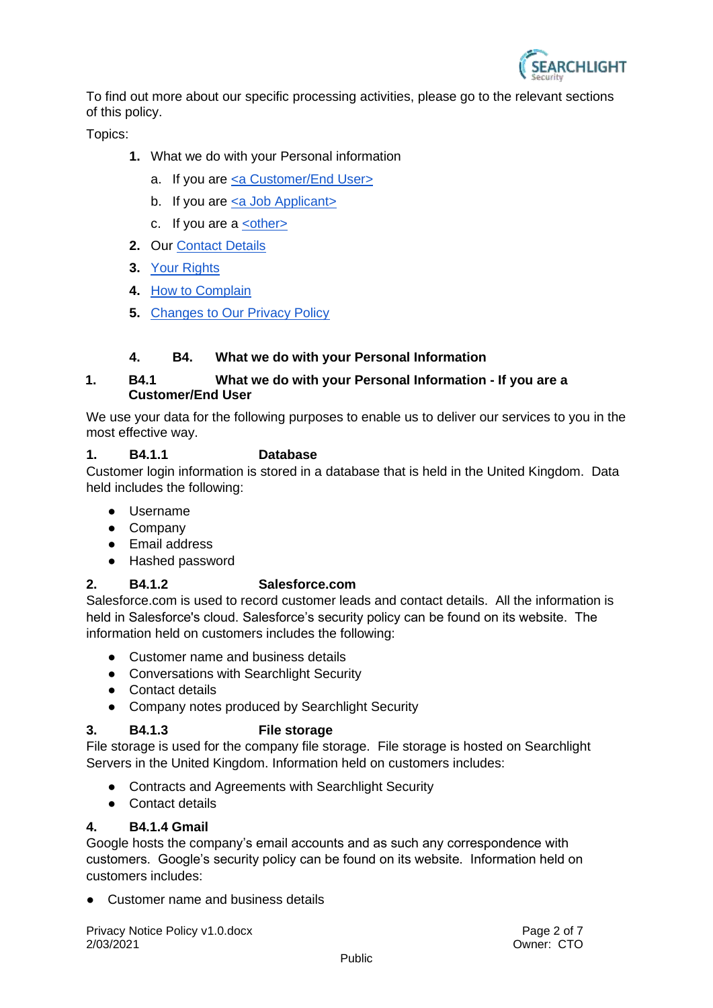

To find out more about our specific processing activities, please go to the relevant sections of this policy.

Topics:

- **1.** What we do with your Personal information
	- a. If you are [<a Customer/End User>](#page-1-0)
	- b. If you are [<a Job Applicant>](#page-3-0)
	- c. If you are a  $\leq$ other $\geq$
- **2.** Our [Contact Details](#page-4-0)
- **3.** [Your Rights](#page-4-1)
- **4.** [How to Complain](#page-5-0)
- **5.** [Changes to Our Privacy Policy](#page-5-1)

# **4. B4. What we do with your Personal Information**

# <span id="page-1-0"></span>**1. B4.1 What we do with your Personal Information - If you are a Customer/End User**

We use your data for the following purposes to enable us to deliver our services to you in the most effective way.

# **1. B4.1.1 Database**

Customer login information is stored in a database that is held in the United Kingdom. Data held includes the following:

- Username
- Company
- Email address
- Hashed password

# **2. B4.1.2 Salesforce.com**

Salesforce.com is used to record customer leads and contact details. All the information is held in Salesforce's cloud. Salesforce's security policy can be found on its website. The information held on customers includes the following:

- Customer name and business details
- Conversations with Searchlight Security
- Contact details
- Company notes produced by Searchlight Security

# **3. B4.1.3 File storage**

File storage is used for the company file storage. File storage is hosted on Searchlight Servers in the United Kingdom. Information held on customers includes:

- Contracts and Agreements with Searchlight Security
- Contact details

#### **4. B4.1.4 Gmail**

Google hosts the company's email accounts and as such any correspondence with customers. Google's security policy can be found on its website. Information held on customers includes:

● Customer name and business details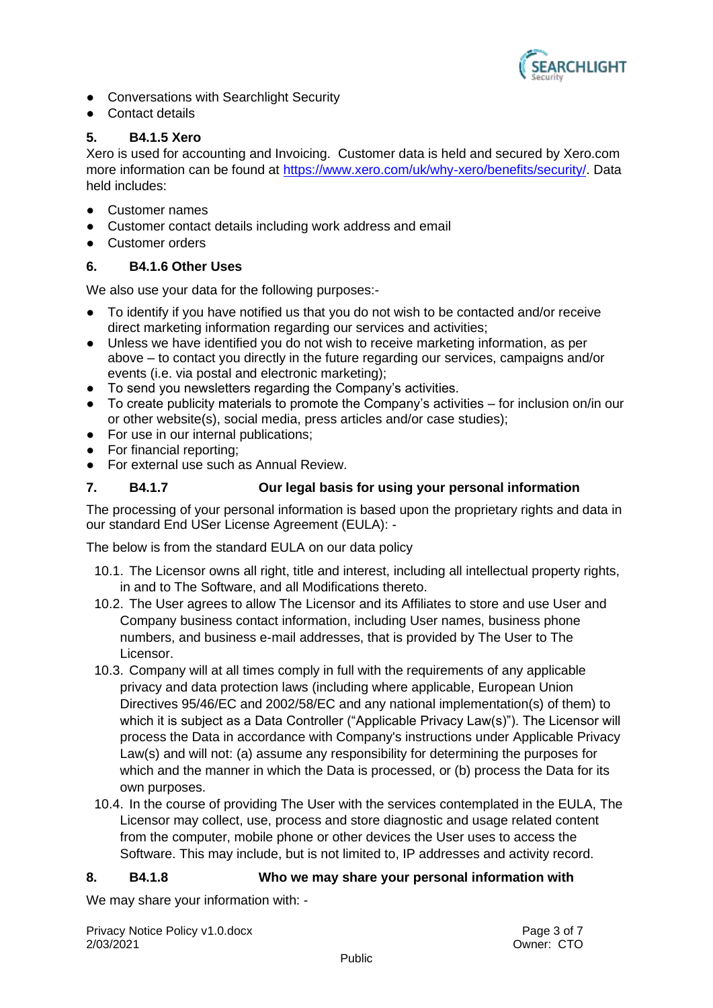

- Conversations with Searchlight Security
- Contact details

# **5. B4.1.5 Xero**

Xero is used for accounting and Invoicing. Customer data is held and secured by Xero.com more information can be found at [https://www.xero.com/uk/why-xero/benefits/security/.](https://www.xero.com/uk/why-xero/benefits/security/) Data held includes:

- Customer names
- Customer contact details including work address and email
- Customer orders

# **6. B4.1.6 Other Uses**

We also use your data for the following purposes:-

- To identify if you have notified us that you do not wish to be contacted and/or receive direct marketing information regarding our services and activities;
- Unless we have identified you do not wish to receive marketing information, as per above – to contact you directly in the future regarding our services, campaigns and/or events (i.e. via postal and electronic marketing);
- To send you newsletters regarding the Company's activities.
- $\bullet$  To create publicity materials to promote the Company's activities for inclusion on/in our or other website(s), social media, press articles and/or case studies);
- For use in our internal publications;
- For financial reporting;
- For external use such as Annual Review.

# **7. B4.1.7 Our legal basis for using your personal information**

The processing of your personal information is based upon the proprietary rights and data in our standard End USer License Agreement (EULA): -

The below is from the standard EULA on our data policy

- 10.1. The Licensor owns all right, title and interest, including all intellectual property rights, in and to The Software, and all Modifications thereto.
- 10.2. The User agrees to allow The Licensor and its Affiliates to store and use User and Company business contact information, including User names, business phone numbers, and business e-mail addresses, that is provided by The User to The Licensor.
- 10.3. Company will at all times comply in full with the requirements of any applicable privacy and data protection laws (including where applicable, European Union Directives 95/46/EC and 2002/58/EC and any national implementation(s) of them) to which it is subject as a Data Controller ("Applicable Privacy Law(s)"). The Licensor will process the Data in accordance with Company's instructions under Applicable Privacy Law(s) and will not: (a) assume any responsibility for determining the purposes for which and the manner in which the Data is processed, or (b) process the Data for its own purposes.
- 10.4. In the course of providing The User with the services contemplated in the EULA, The Licensor may collect, use, process and store diagnostic and usage related content from the computer, mobile phone or other devices the User uses to access the Software. This may include, but is not limited to, IP addresses and activity record.

#### **8. B4.1.8 Who we may share your personal information with**

We may share your information with: -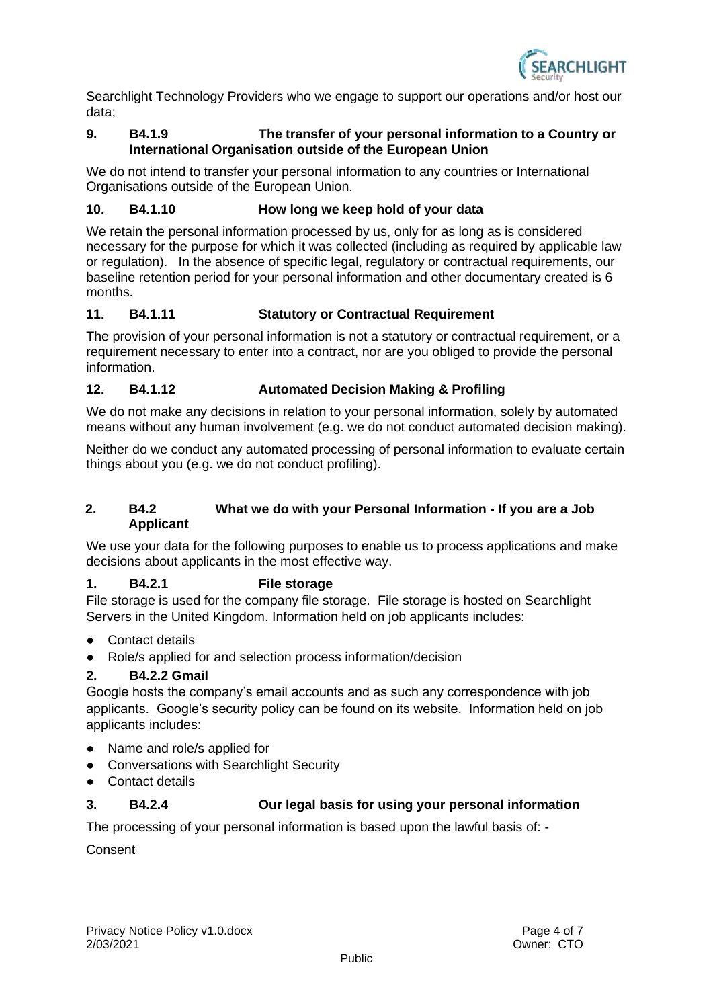

Searchlight Technology Providers who we engage to support our operations and/or host our data;

## **9. B4.1.9 The transfer of your personal information to a Country or International Organisation outside of the European Union**

We do not intend to transfer your personal information to any countries or International Organisations outside of the European Union.

## **10. B4.1.10 How long we keep hold of your data**

We retain the personal information processed by us, only for as long as is considered necessary for the purpose for which it was collected (including as required by applicable law or regulation). In the absence of specific legal, regulatory or contractual requirements, our baseline retention period for your personal information and other documentary created is 6 months.

## **11. B4.1.11 Statutory or Contractual Requirement**

The provision of your personal information is not a statutory or contractual requirement, or a requirement necessary to enter into a contract, nor are you obliged to provide the personal information.

## **12. B4.1.12 Automated Decision Making & Profiling**

We do not make any decisions in relation to your personal information, solely by automated means without any human involvement (e.g. we do not conduct automated decision making).

Neither do we conduct any automated processing of personal information to evaluate certain things about you (e.g. we do not conduct profiling).

## <span id="page-3-0"></span>**2. B4.2 What we do with your Personal Information - If you are a Job Applicant**

We use your data for the following purposes to enable us to process applications and make decisions about applicants in the most effective way.

## **1. B4.2.1 File storage**

File storage is used for the company file storage. File storage is hosted on Searchlight Servers in the United Kingdom. Information held on job applicants includes:

- Contact details
- Role/s applied for and selection process information/decision

# **2. B4.2.2 Gmail**

Google hosts the company's email accounts and as such any correspondence with job applicants. Google's security policy can be found on its website. Information held on job applicants includes:

- Name and role/s applied for
- Conversations with Searchlight Security
- Contact details

# **3. B4.2.4 Our legal basis for using your personal information**

The processing of your personal information is based upon the lawful basis of: -

Consent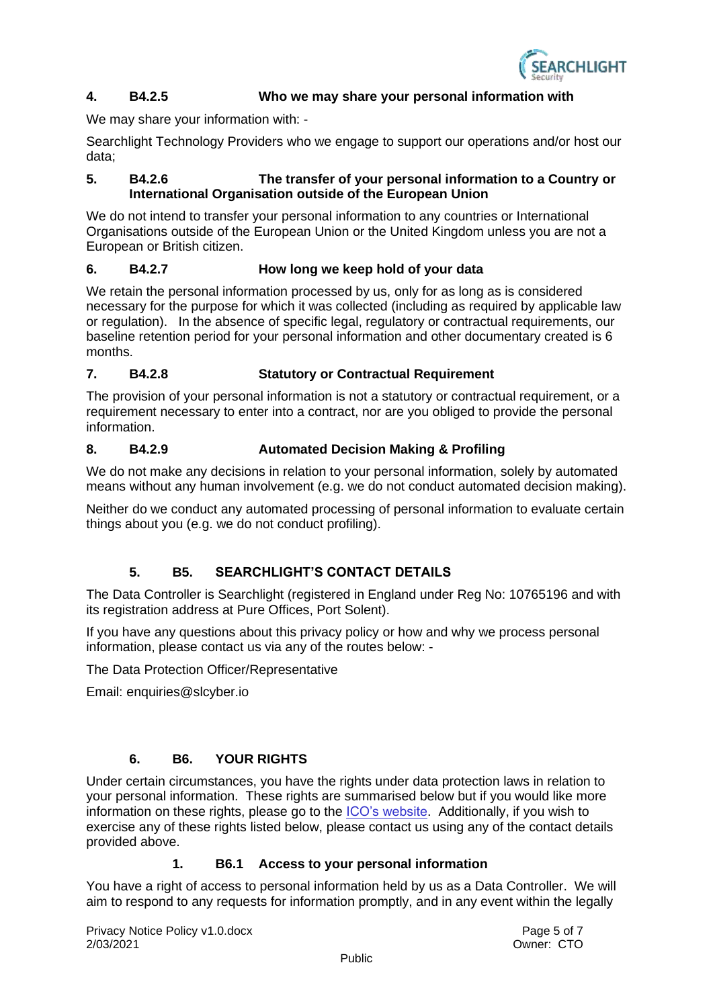

#### **4. B4.2.5 Who we may share your personal information with**

We may share your information with: -

Searchlight Technology Providers who we engage to support our operations and/or host our data;

#### **5. B4.2.6 The transfer of your personal information to a Country or International Organisation outside of the European Union**

We do not intend to transfer your personal information to any countries or International Organisations outside of the European Union or the United Kingdom unless you are not a European or British citizen.

## **6. B4.2.7 How long we keep hold of your data**

We retain the personal information processed by us, only for as long as is considered necessary for the purpose for which it was collected (including as required by applicable law or regulation). In the absence of specific legal, regulatory or contractual requirements, our baseline retention period for your personal information and other documentary created is 6 months.

## **7. B4.2.8 Statutory or Contractual Requirement**

The provision of your personal information is not a statutory or contractual requirement, or a requirement necessary to enter into a contract, nor are you obliged to provide the personal information.

#### **8. B4.2.9 Automated Decision Making & Profiling**

We do not make any decisions in relation to your personal information, solely by automated means without any human involvement (e.g. we do not conduct automated decision making).

Neither do we conduct any automated processing of personal information to evaluate certain things about you (e.g. we do not conduct profiling).

# **5. B5. SEARCHLIGHT'S CONTACT DETAILS**

<span id="page-4-0"></span>The Data Controller is Searchlight (registered in England under Reg No: 10765196 and with its registration address at Pure Offices, Port Solent).

If you have any questions about this privacy policy or how and why we process personal information, please contact us via any of the routes below: -

The Data Protection Officer/Representative

Email: enquiries@slcyber.io

# **6. B6. YOUR RIGHTS**

<span id="page-4-1"></span>Under certain circumstances, you have the rights under data protection laws in relation to your personal information. These rights are summarised below but if you would like more information on these rights, please go to the [ICO's website.](https://ico.org.uk/for-organisations/guide-to-the-general-data-protection-regulation-gdpr/individual-rights/) Additionally, if you wish to exercise any of these rights listed below, please contact us using any of the contact details provided above.

#### **1. B6.1 Access to your personal information**

You have a right of access to personal information held by us as a Data Controller. We will aim to respond to any requests for information promptly, and in any event within the legally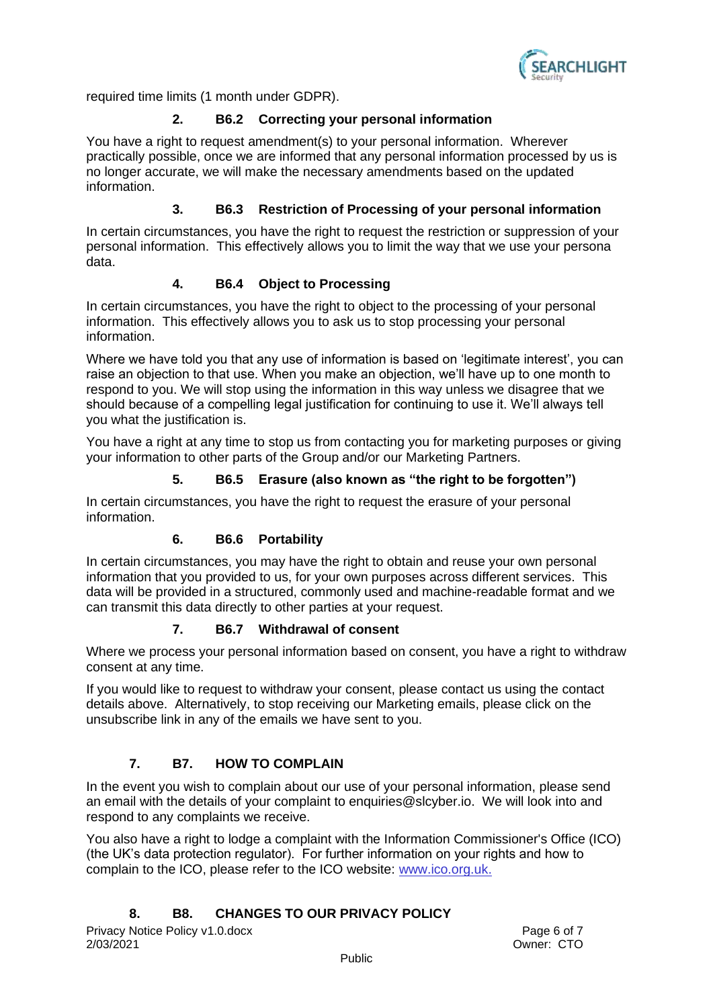

required time limits (1 month under GDPR).

## **2. B6.2 Correcting your personal information**

You have a right to request amendment(s) to your personal information. Wherever practically possible, once we are informed that any personal information processed by us is no longer accurate, we will make the necessary amendments based on the updated information.

## **3. B6.3 Restriction of Processing of your personal information**

In certain circumstances, you have the right to request the restriction or suppression of your personal information. This effectively allows you to limit the way that we use your persona data.

## **4. B6.4 Object to Processing**

In certain circumstances, you have the right to object to the processing of your personal information. This effectively allows you to ask us to stop processing your personal information.

Where we have told you that any use of information is based on 'legitimate interest', you can raise an objection to that use. When you make an objection, we'll have up to one month to respond to you. We will stop using the information in this way unless we disagree that we should because of a compelling legal justification for continuing to use it. We'll always tell you what the justification is.

You have a right at any time to stop us from contacting you for marketing purposes or giving your information to other parts of the Group and/or our Marketing Partners.

#### **5. B6.5 Erasure (also known as "the right to be forgotten")**

In certain circumstances, you have the right to request the erasure of your personal information.

#### **6. B6.6 Portability**

In certain circumstances, you may have the right to obtain and reuse your own personal information that you provided to us, for your own purposes across different services. This data will be provided in a structured, commonly used and machine-readable format and we can transmit this data directly to other parties at your request.

#### **7. B6.7 Withdrawal of consent**

Where we process your personal information based on consent, you have a right to withdraw consent at any time.

If you would like to request to withdraw your consent, please contact us using the contact details above. Alternatively, to stop receiving our Marketing emails, please click on the unsubscribe link in any of the emails we have sent to you.

# **7. B7. HOW TO COMPLAIN**

<span id="page-5-0"></span>In the event you wish to complain about our use of your personal information, please send an email with the details of your complaint to enquiries@slcyber.io. We will look into and respond to any complaints we receive.

You also have a right to lodge a complaint with the Information Commissioner's Office (ICO) (the UK's data protection regulator). For further information on your rights and how to complain to the ICO, please refer to the ICO website: [www.ico.org.uk.](http://www.ico.org.uk/)

# <span id="page-5-1"></span>**8. B8. CHANGES TO OUR PRIVACY POLICY**